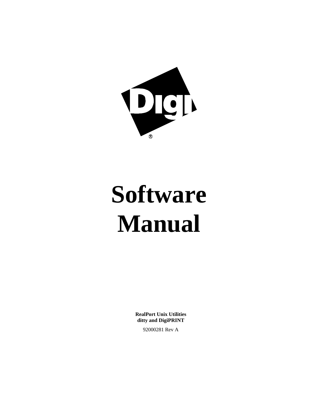

# **Software Manual**

**RealPort Unix Utilities ditty and DigiPRINT**

92000281 Rev A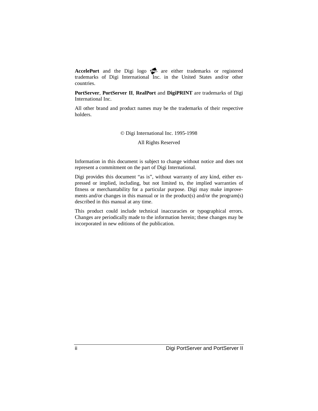AccelePort and the Digi logo **po** are either trademarks or registered trademarks of Digi International Inc. in the United States and/or other countries.

**PortServer**, **PortServer II**, **RealPort** and **DigiPRINT** are trademarks of Digi International Inc.

All other brand and product names may be the trademarks of their respective holders.

#### © Digi International Inc. 1995-1998

All Rights Reserved

Information in this document is subject to change without notice and does not represent a commitment on the part of Digi International.

Digi provides this document "as is", without warranty of any kind, either expressed or implied, including, but not limited to, the implied warranties of fitness or merchantability for a particular purpose. Digi may make improvements and/or changes in this manual or in the product(s) and/or the program(s) described in this manual at any time.

This product could include technical inaccuracies or typographical errors. Changes are periodically made to the information herein; these changes may be incorporated in new editions of the publication.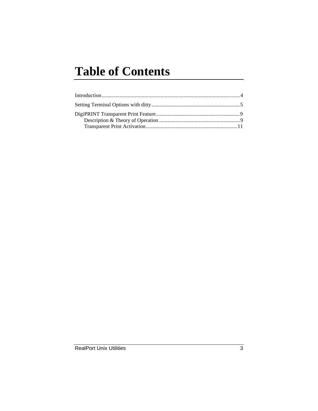# **Table of Contents**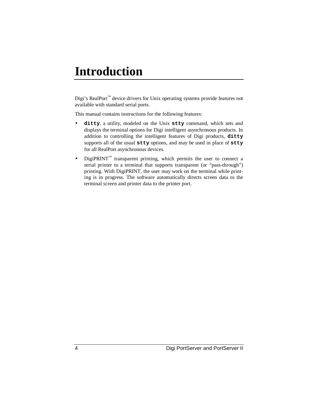## **Introduction**

Digi's RealPort™ device drivers for Unix operating systems provide features not available with standard serial ports.

This manual contains instructions for the following features:

- **ditty**, a utility, modeled on the Unix **stty** command, which sets and displays the terminal options for Digi intelligent asynchronous products. In addition to controlling the intelligent features of Digi products, **ditty** supports all of the usual **stty** options, and may be used in place of **stty** for all RealPort asynchronous devices.
- DigiPRINT<sup>™</sup> transparent printing, which permits the user to connect a serial printer to a terminal that supports transparent (or "pass-through") printing. With DigiPRINT, the user may work on the terminal while printing is in progress. The software automatically directs screen data to the terminal screen and printer data to the printer port.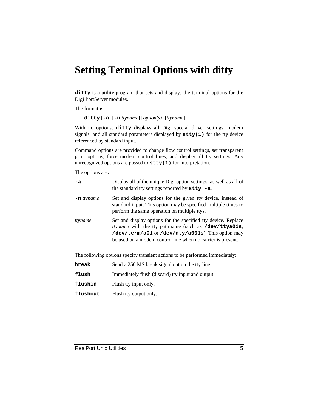## **Setting Terminal Options with ditty**

**ditty** is a utility program that sets and displays the terminal options for the Digi PortServer modules.

The format is:

**ditty** [**-a**] [**-n** *ttyname*] [*option(s)*] [*ttyname*]

With no options, **ditty** displays all Digi special driver settings, modem signals, and all standard parameters displayed by **stty(1)** for the tty device referenced by standard input.

Command options are provided to change flow control settings, set transparent print options, force modem control lines, and display all tty settings. Any unrecognized options are passed to **stty(1)** for interpretation.

The options are:

| -a            | Display all of the unique Digi option settings, as well as all of<br>the standard tty settings reported by $\texttt{stty}$ -a.                                                                                                                   |
|---------------|--------------------------------------------------------------------------------------------------------------------------------------------------------------------------------------------------------------------------------------------------|
| $-$ n ttyname | Set and display options for the given tty device, instead of<br>standard input. This option may be specified multiple times to<br>perform the same operation on multiple ttys.                                                                   |
| ttyname       | Set and display options for the specified tty device. Replace<br><i>ttyname</i> with the tty pathname (such as /dev/ttya01s,<br>/dev/term/a01 or /dev/dty/a001s). This option may<br>be used on a modem control line when no carrier is present. |

The following options specify transient actions to be performed immediately:

| break    | Send a 250 MS break signal out on the tty line.   |
|----------|---------------------------------------------------|
| flush    | Immediately flush (discard) tty input and output. |
| flushin  | Flush tty input only.                             |
| flushout | Flush tty output only.                            |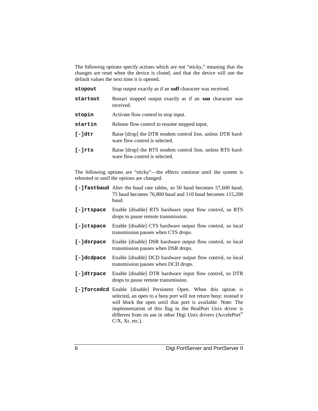The following options specify actions which are not "sticky," meaning that the changes are reset when the device is closed, and that the device will use the default values the next time it is opened.

| stopout          | Stop output exactly as if an <b>xoff</b> character was received.                            |
|------------------|---------------------------------------------------------------------------------------------|
| startout         | Restart stopped output exactly as if an <b>xon</b> character was<br>received.               |
| stopin           | Activate flow control to stop input.                                                        |
| startin          | Release flow control to resume stopped input.                                               |
| $[-] \text{dtr}$ | Raise [drop] the DTR modem control line, unless DTR hard-<br>ware flow control is selected. |
| $[-]$ rts        | Raise [drop] the RTS modem control line, unless RTS hard-<br>ware flow control is selected. |

The following options are "sticky"—the effects continue until the system is rebooted or until the options are changed.

- **[-]fastbaud** Alter the baud rate tables, so 50 baud becomes 57,600 baud, 75 baud becomes 76,800 baud and 110 baud becomes 115,200 baud.
- **[-]rtspace** Enable [disable] RTS hardware input flow control, so RTS drops to pause remote transmission.
- **[-]ctspace** Enable [disable] CTS hardware output flow control, so local transmission pauses when CTS drops.
- **[-]dsrpace** Enable [disable] DSR hardware output flow control, so local transmission pauses when DSR drops.
- **[-]dcdpace** Enable [disable] DCD hardware output flow control, so local transmission pauses when DCD drops.
- **[-]dtrpace** Enable [disable] DTR hardware input flow control, so DTR drops to pause remote transmission.
- **[-]forcedcd** Enable [disable] Persistent Open. When this option is selected, an open to a busy port will not return busy; instead it will block the open until that port is available. Note: The implementation of this flag in the RealPort Unix driver is different from its use in other Digi Unix drivers (AccelePort®  $C/X$ ,  $Xr$ , etc.).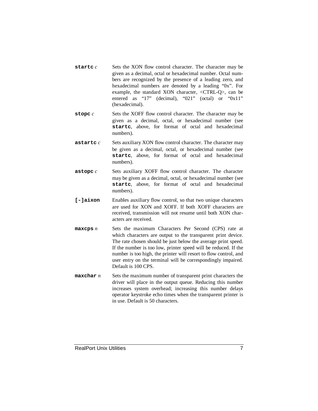- **startc** *c* Sets the XON flow control character. The character may be given as a decimal, octal or hexadecimal number. Octal numbers are recognized by the presence of a leading zero, and hexadecimal numbers are denoted by a leading "0x". For example, the standard XON character, <CTRL-Q>, can be entered as "17" (decimal), "021" (octal) or "0x11" (hexadecimal).
- **stopc** *c* Sets the XOFF flow control character. The character may be given as a decimal, octal, or hexadecimal number (see **startc**, above, for format of octal and hexadecimal numbers).
- **astartc** *c* Sets auxiliary XON flow control character. The character may be given as a decimal, octal, or hexadecimal number (see **startc**, above, for format of octal and hexadecimal numbers).
- **astopc** *c* Sets auxiliary XOFF flow control character. The character may be given as a decimal, octal, or hexadecimal number (see **startc**, above, for format of octal and hexadecimal numbers).
- **[-]aixon** Enables auxiliary flow control, so that two unique characters are used for XON and XOFF. If both XOFF characters are received, transmission will not resume until both XON characters are received.
- **maxcps** *n* Sets the maximum Characters Per Second (CPS) rate at which characters are output to the transparent print device. The rate chosen should be just below the average print speed. If the number is too low, printer speed will be reduced. If the number is too high, the printer will resort to flow control, and user entry on the terminal will be correspondingly impaired. Default is 100 CPS.
- **maxchar** *n* Sets the maximum number of transparent print characters the driver will place in the output queue. Reducing this number increases system overhead; increasing this number delays operator keystroke echo times when the transparent printer is in use. Default is 50 characters.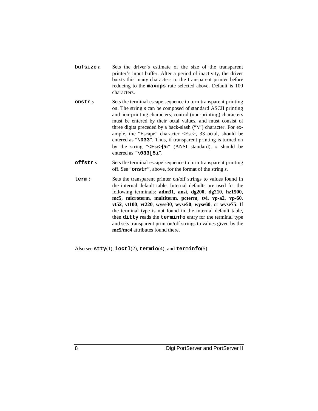- **bufsize** *n* Sets the driver's estimate of the size of the transparent printer's input buffer. After a period of inactivity, the driver bursts this many characters to the transparent printer before reducing to the **maxcps** rate selected above. Default is 100 characters.
- **onstr** *s* Sets the terminal escape sequence to turn transparent printing on. The string *s* can be composed of standard ASCII printing and non-printing characters; control (non-printing) characters must be entered by their octal values, and must consist of three digits preceded by a back-slash ("**\**") character. For example, the "Escape" character <Esc>, 33 octal, should be entered as "**\033**". Thus, if transparent printing is turned on by the string "**<Esc>[5i**" (ANSI standard), *s* should be entered as "**\033[5i**".
- **offstr** *s* Sets the terminal escape sequence to turn transparent printing off. See "**onstr**", above, for the format of the string *s*.
- **term** *t* Sets the transparent printer on/off strings to values found in the internal default table. Internal defaults are used for the following terminals: **adm31**, **ansi**, **dg200**, **dg210**, **hz1500**, **mc5**, **microterm**, **multiterm**, **pcterm**, **tvi**, **vp-a2**, **vp-60**, **vt52**, **vt100**, **vt220**, **wyse30**, **wyse50**, **wyse60**, or **wyse75**. If the terminal type is not found in the internal default table, then **ditty** reads the **terminfo** entry for the terminal type and sets transparent print on/off strings to values given by the **mc5**/**mc4** attributes found there.

Also see **stty**(1), **ioctl**(2), **termio**(4), and **terminfo**(5).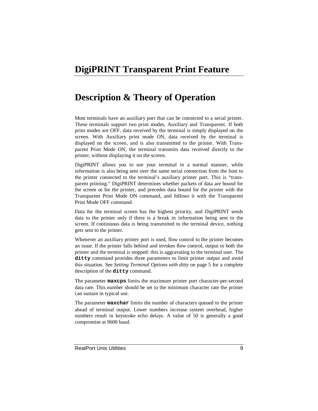## **DigiPRINT Transparent Print Feature**

## **Description & Theory of Operation**

Most terminals have an auxiliary port that can be connected to a serial printer. These terminals support two print modes, Auxiliary and Transparent. If both print modes are OFF, data received by the terminal is simply displayed on the screen. With Auxiliary print mode ON, data received by the terminal is displayed on the screen, and is also transmitted to the printer. With Transparent Print Mode ON, the terminal transmits data received directly to the printer, without displaying it on the screen.

DigiPRINT allows you to use your terminal in a normal manner, while information is also being sent over the same serial connection from the host to the printer connected to the terminal's auxiliary printer port. This is "transparent printing." DigiPRINT determines whether packets of data are bound for the screen or for the printer, and precedes data bound for the printer with the Transparent Print Mode ON command, and follows it with the Transparent Print Mode OFF command.

Data for the terminal screen has the highest priority, and DigiPRINT sends data to the printer only if there is a break in information being sent to the screen. If continuous data is being transmitted to the terminal device, nothing gets sent to the printer.

Whenever an auxiliary printer port is used, flow control to the printer becomes an issue. If the printer falls behind and invokes flow control, output to both the printer and the terminal is stopped: this is aggravating to the terminal user. The **ditty** command provides three parameters to limit printer output and avoid this situation. See *Setting Terminal Options with ditty* on page 5 for a complete description of the **ditty** command.

The parameter **maxcps** limits the maximum printer port character-per-second data rate. This number should be set to the minimum character rate the printer can sustain in typical use.

The parameter **maxchar** limits the number of characters queued to the printer ahead of terminal output. Lower numbers increase system overhead, higher numbers result in keystroke echo delays. A value of 50 is generally a good compromise at 9600 baud.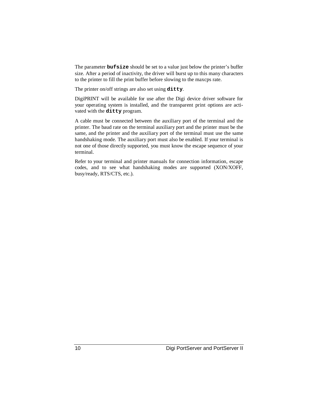The parameter **bufsize** should be set to a value just below the printer's buffer size. After a period of inactivity, the driver will burst up to this many characters to the printer to fill the print buffer before slowing to the maxcps rate.

The printer on/off strings are also set using **ditty**.

DigiPRINT will be available for use after the Digi device driver software for your operating system is installed, and the transparent print options are activated with the **ditty** program.

A cable must be connected between the auxiliary port of the terminal and the printer. The baud rate on the terminal auxiliary port and the printer must be the same, and the printer and the auxiliary port of the terminal must use the same handshaking mode. The auxiliary port must also be enabled. If your terminal is not one of those directly supported, you must know the escape sequence of your terminal.

Refer to your terminal and printer manuals for connection information, escape codes, and to see what handshaking modes are supported (XON/XOFF, busy/ready, RTS/CTS, etc.).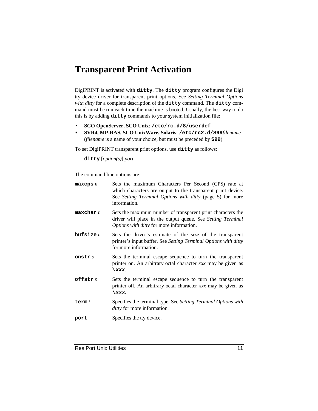## **Transparent Print Activation**

DigiPRINT is activated with **ditty**. The **ditty** program configures the Digi tty device driver for transparent print options. See *Setting Terminal Options with ditty* for a complete description of the **ditty** command. The **ditty** command must be run each time the machine is booted. Usually, the best way to do this is by adding **ditty** commands to your system initialization file:

- **SCO OpenServer, SCO Unix**: **/etc/rc.d/8/userdef**
- **SVR4, MP-RAS, SCO UnixWare, Solaris**: **/etc/rc2.d/S99***filename* (*filename* is a name of your choice, but must be preceded by **S99**)

To set DigiPRINT transparent print options, use **ditty** as follows:

**ditty** [*option(s)*] *port*

The command line options are:

| maxeps n    | Sets the maximum Characters Per Second (CPS) rate at<br>which characters are output to the transparent print device.<br>See Setting Terminal Options with ditty (page 5) for more<br>information. |
|-------------|---------------------------------------------------------------------------------------------------------------------------------------------------------------------------------------------------|
| maxchar n   | Sets the maximum number of transparent print characters the<br>driver will place in the output queue. See Setting Terminal<br><i>Options with ditty</i> for more information.                     |
| bufsize $n$ | Sets the driver's estimate of the size of the transparent<br>printer's input buffer. See Setting Terminal Options with ditty<br>for more information.                                             |
| onstr s     | Sets the terminal escape sequence to turn the transparent<br>printer on. An arbitrary octal character xxx may be given as<br>$\chi$ xxx.                                                          |
| offstr $s$  | Sets the terminal escape sequence to turn the transparent<br>printer off. An arbitrary octal character xxx may be given as<br>$\chi$ xxx.                                                         |
| term $t$    | Specifies the terminal type. See Setting Terminal Options with<br>ditty for more information.                                                                                                     |
| port        | Specifies the tty device.                                                                                                                                                                         |